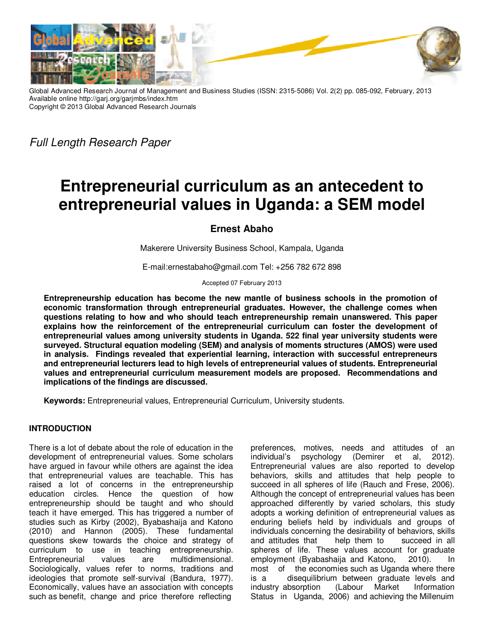

Global Advanced Research Journal of Management and Business Studies (ISSN: 2315-5086) Vol. 2(2) pp. 085-092, February, 2013 Available online http://garj.org/garjmbs/index.htm Copyright © 2013 Global Advanced Research Journals

*Full Length Research Paper* 

# **Entrepreneurial curriculum as an antecedent to entrepreneurial values in Uganda: a SEM model**

# **Ernest Abaho**

Makerere University Business School, Kampala, Uganda

E-mail:ernestabaho@gmail.com Tel: +256 782 672 898

Accepted 07 February 2013

**Entrepreneurship education has become the new mantle of business schools in the promotion of economic transformation through entrepreneurial graduates. However, the challenge comes when questions relating to how and who should teach entrepreneurship remain unanswered. This paper explains how the reinforcement of the entrepreneurial curriculum can foster the development of entrepreneurial values among university students in Uganda. 522 final year university students were surveyed. Structural equation modeling (SEM) and analysis of moments structures (AMOS) were used in analysis. Findings revealed that experiential learning, interaction with successful entrepreneurs and entrepreneurial lecturers lead to high levels of entrepreneurial values of students. Entrepreneurial values and entrepreneurial curriculum measurement models are proposed. Recommendations and implications of the findings are discussed.** 

**Keywords:** Entrepreneurial values, Entrepreneurial Curriculum, University students.

# **INTRODUCTION**

There is a lot of debate about the role of education in the development of entrepreneurial values. Some scholars have argued in favour while others are against the idea that entrepreneurial values are teachable. This has raised a lot of concerns in the entrepreneurship education circles. Hence the question of how entrepreneurship should be taught and who should teach it have emerged. This has triggered a number of studies such as Kirby (2002), Byabashaija and Katono (2010) and Hannon (2005). These fundamental questions skew towards the choice and strategy of curriculum to use in teaching entrepreneurship. Entrepreneurial values are multidimensional. Sociologically, values refer to norms, traditions and ideologies that promote self-survival (Bandura, 1977). Economically, values have an association with concepts such as benefit, change and price therefore reflecting

preferences, motives, needs and attitudes of an individual's psychology (Demirer et al, 2012). Entrepreneurial values are also reported to develop behaviors, skills and attitudes that help people to succeed in all spheres of life (Rauch and Frese, 2006). Although the concept of entrepreneurial values has been approached differently by varied scholars, this study adopts a working definition of entrepreneurial values as enduring beliefs held by individuals and groups of individuals concerning the desirability of behaviors, skills and attitudes that help them to succeed in all spheres of life. These values account for graduate employment (Byabashaija and Katono, 2010). In most of the economies such as Uganda where there is a disequilibrium between graduate levels and industry absorption (Labour Market Information Status in Uganda, 2006) and achieving the Millenuim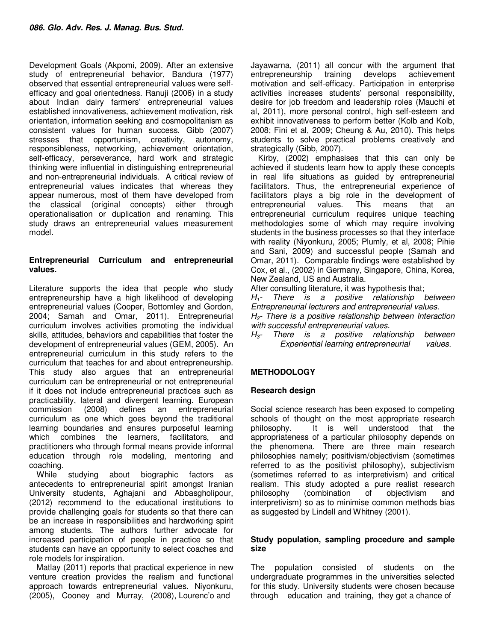Development Goals (Akpomi, 2009). After an extensive study of entrepreneurial behavior, Bandura (1977) observed that essential entrepreneurial values were selfefficacy and goal orientedness. Ranuji (2006) in a study about Indian dairy farmers' entrepreneurial values established innovativeness, achievement motivation, risk orientation, information seeking and cosmopolitanism as consistent values for human success. Gibb (2007) stresses that opportunism, creativity, autonomy, responsibleness, networking, achievement orientation, self-efficacy, perseverance, hard work and strategic thinking were influential in distinguishing entrepreneurial and non-entrepreneurial individuals. A critical review of entrepreneurial values indicates that whereas they appear numerous, most of them have developed from the classical (original concepts) either through operationalisation or duplication and renaming. This study draws an entrepreneurial values measurement model.

### **Entrepreneurial Curriculum and entrepreneurial values.**

Literature supports the idea that people who study entrepreneurship have a high likelihood of developing entrepreneurial values (Cooper, Bottomley and Gordon, 2004; Samah and Omar, 2011). Entrepreneurial curriculum involves activities promoting the individual skills, attitudes, behaviors and capabilities that foster the development of entrepreneurial values (GEM, 2005). An entrepreneurial curriculum in this study refers to the curriculum that teaches for and about entrepreneurship. This study also argues that an entrepreneurial curriculum can be entrepreneurial or not entrepreneurial if it does not include entrepreneurial practices such as practicability, lateral and divergent learning. European commission (2008) defines an entrepreneurial curriculum as one which goes beyond the traditional learning boundaries and ensures purposeful learning which combines the learners, facilitators, and practitioners who through formal means provide informal education through role modeling, mentoring and coaching.

While studying about biographic factors as antecedents to entrepreneurial spirit amongst Iranian University students, Aghajani and Abbasgholipour, (2012) recommend to the educational institutions to provide challenging goals for students so that there can be an increase in responsibilities and hardworking spirit among students. The authors further advocate for increased participation of people in practice so that students can have an opportunity to select coaches and role models for inspiration.

Matlay (2011) reports that practical experience in new venture creation provides the realism and functional approach towards entrepreneurial values. Niyonkuru, (2005), Cooney and Murray, (2008), Lourenc'o and

Jayawarna, (2011) all concur with the argument that entrepreneurship training develops achievement motivation and self-efficacy. Participation in enterprise activities increases students' personal responsibility, desire for job freedom and leadership roles (Mauchi et al, 2011), more personal control, high self-esteem and exhibit innovativeness to perform better (Kolb and Kolb, 2008; Fini et al, 2009; Cheung & Au, 2010). This helps students to solve practical problems creatively and strategically (Gibb, 2007).

Kirby, (2002) emphasises that this can only be achieved if students learn how to apply these concepts in real life situations as guided by entrepreneurial facilitators. Thus, the entrepreneurial experience of facilitators plays a big role in the development of entrepreneurial values. This means that an entrepreneurial curriculum requires unique teaching methodologies some of which may require involving students in the business processes so that they interface with reality (Niyonkuru, 2005; Plumly, et al, 2008; Pihie and Sani, 2009) and successful people (Samah and Omar, 2011). Comparable findings were established by Cox, et al., (2002) in Germany, Singapore, China, Korea, New Zealand, US and Australia.

After consulting literature, it was hypothesis that;

*H1- There is a positive relationship between Entrepreneurial lecturers and entrepreneurial values. H2- There is a positive relationship between Interaction with successful entrepreneurial values.* 

*H3- There is a positive relationship between Experiential learning entrepreneurial values.* 

# **METHODOLOGY**

#### **Research design**

Social science research has been exposed to competing schools of thought on the most appropriate research philosophy. It is well understood that the appropriateness of a particular philosophy depends on the phenomena. There are three main research philosophies namely; positivism/objectivism (sometimes referred to as the positivist philosophy), subjectivism (sometimes referred to as interpretivism) and critical realism. This study adopted a pure realist research philosophy (combination of objectivism and interpretivism) so as to minimise common methods bias as suggested by Lindell and Whitney (2001).

#### **Study population, sampling procedure and sample size**

The population consisted of students on the undergraduate programmes in the universities selected for this study. University students were chosen because through education and training, they get a chance of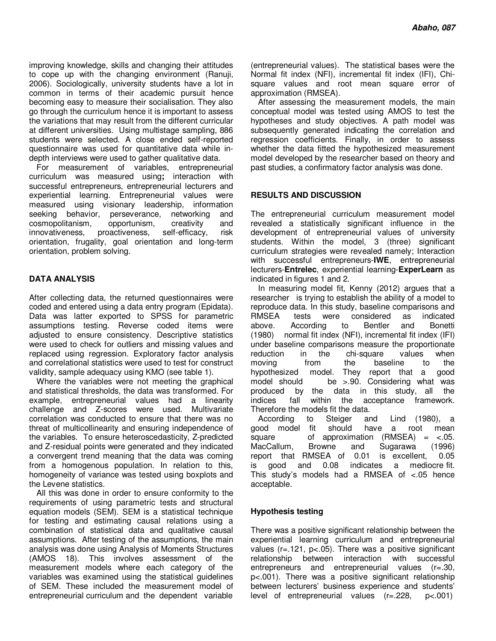improving knowledge, skills and changing their attitudes to cope up with the changing environment (Ranuji, 2006). Sociologically, university students have a lot in common in terms of their academic pursuit hence becoming easy to measure their socialisation. They also go through the curriculum hence it is important to assess the variations that may result from the different curricular at different universities. Using multistage sampling, 886 students were selected. A close ended self-reported questionnaire was used for quantitative data while indepth interviews were used to gather qualitative data.

For measurement of variables, entrepreneurial curriculum was measured using**;** interaction with successful entrepreneurs, entrepreneurial lecturers and experiential learning. Entrepreneurial values were measured using visionary leadership, information seeking behavior, perseverance, networking and cosmopolitanism, opportunism, creativity and innovativeness, proactiveness, self-efficacy, risk orientation, frugality, goal orientation and long-term orientation, problem solving.

# **DATA ANALYSIS**

After collecting data, the returned questionnaires were coded and entered using a data entry program (Epidata). Data was latter exported to SPSS for parametric assumptions testing. Reverse coded items were adjusted to ensure consistency. Descriptive statistics were used to check for outliers and missing values and replaced using regression. Exploratory factor analysis and correlational statistics were used to test for construct validity, sample adequacy using KMO (see table 1).

Where the variables were not meeting the graphical and statistical thresholds, the data was transformed. For example, entrepreneurial values had a linearity challenge and Z-scores were used. Multivariate correlation was conducted to ensure that there was no threat of multicollinearity and ensuring independence of the variables. To ensure heteroscedasticity, Z-predicted and Z-residual points were generated and they indicated a convergent trend meaning that the data was coming from a homogenous population. In relation to this, homogeneity of variance was tested using boxplots and the Levene statistics.

All this was done in order to ensure conformity to the requirements of using parametric tests and structural equation models (SEM). SEM is a statistical technique for testing and estimating causal relations using a combination of statistical data and qualitative causal assumptions. After testing of the assumptions, the main analysis was done using Analysis of Moments Structures (AMOS 18). This involves assessment of the measurement models where each category of the variables was examined using the statistical guidelines of SEM. These included the measurement model of entrepreneurial curriculum and the dependent variable

(entrepreneurial values). The statistical bases were the Normal fit index (NFI), incremental fit index (IFI), Chisquare values and root mean square error of approximation (RMSEA).

After assessing the measurement models, the main conceptual model was tested using AMOS to test the hypotheses and study objectives. A path model was subsequently generated indicating the correlation and regression coefficients. Finally, in order to assess whether the data fitted the hypothesized measurement model developed by the researcher based on theory and past studies, a confirmatory factor analysis was done.

#### **RESULTS AND DISCUSSION**

The entrepreneurial curriculum measurement model revealed a statistically significant influence in the development of entrepreneurial values of university students. Within the model, 3 (three) significant curriculum strategies were revealed namely; Interaction with successful entrepreneurs-**IWE**, entrepreneurial lecturers-**Entrelec**, experiential learning-**ExperLearn** as indicated in figures 1 and 2.

In measuring model fit, Kenny (2012) argues that a researcher is trying to establish the ability of a model to reproduce data. In this study, baseline comparisons and RMSEA tests were considered as indicated above. According to Bentler and Bonetti (1980) normal fit index (NFI), incremental fit index (IFI) under baseline comparisons measure the proportionate reduction in the chi-square values when moving from the baseline to the hypothesized model. They report that a model should be >.90. Considering what was produced by the data in this study, all the indices fall within the acceptance framework. Therefore the models fit the data.

According to Steiger and Lind (1980), a good model fit should have a root mean square of approximation  $(RMSEA) = <.05$ . MacCallum, Browne and Sugarawa (1996) report that RMSEA of 0.01 is excellent, 0.05 is good and 0.08 indicates a mediocre fit. This study's models had a RMSEA of <.05 hence acceptable.

# **Hypothesis testing**

There was a positive significant relationship between the experiential learning curriculum and entrepreneurial values (r=.121, p<.05). There was a positive significant relationship between interaction with successful entrepreneurs and entrepreneurial values (r=.30, p<.001). There was a positive significant relationship between lecturers' business experience and students' level of entrepreneurial values (r=.228, p<.001)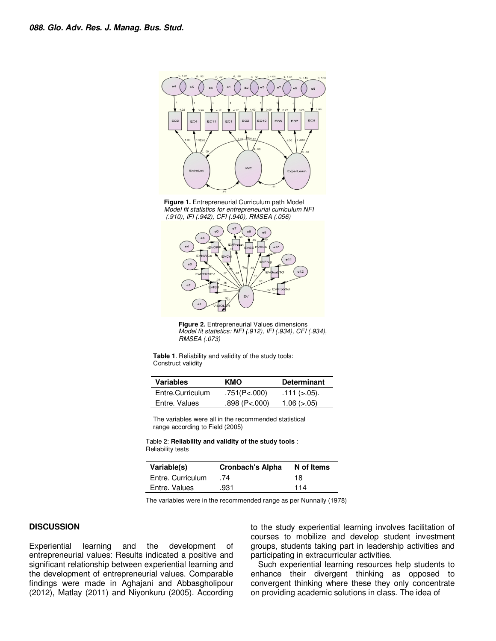

**Figure 1.** Entrepreneurial Curriculum path Model *Model fit statistics for entrepreneurial curriculum NFI (.910), IFI (.942), CFI (.940), RMSEA (.056)* 



**Figure 2.** Entrepreneurial Values dimensions *Model fit statistics: NFI (.912), IFI (.934), CFI (.934), RMSEA (.073)* 

**Table 1**. Reliability and validity of the study tools: Construct validity

| <b>Variables</b> | KMO                 | <b>Determinant</b>  |  |
|------------------|---------------------|---------------------|--|
| Entre.Curriculum | .751(P<.000)        | $.111 (> .05)$ .    |  |
| Entre. Values    | $.898$ (P< $.000$ ) | $1.06$ ( $> 0.05$ ) |  |

The variables were all in the recommended statistical range according to Field (2005)

Table 2: **Reliability and validity of the study tools** : Reliability tests

| Variable(s)       | <b>Cronbach's Alpha</b> | N of Items |
|-------------------|-------------------------|------------|
| Entre, Curriculum | -74                     | 18         |
| Entre, Values     | .931                    | 114        |

The variables were in the recommended range as per Nunnally (1978)

#### **DISCUSSION**

Experiential learning and the development of entrepreneurial values: Results indicated a positive and significant relationship between experiential learning and the development of entrepreneurial values. Comparable findings were made in Aghajani and Abbasgholipour (2012), Matlay (2011) and Niyonkuru (2005). According to the study experiential learning involves facilitation of courses to mobilize and develop student investment groups, students taking part in leadership activities and participating in extracurricular activities.

Such experiential learning resources help students to enhance their divergent thinking as opposed to convergent thinking where these they only concentrate on providing academic solutions in class. The idea of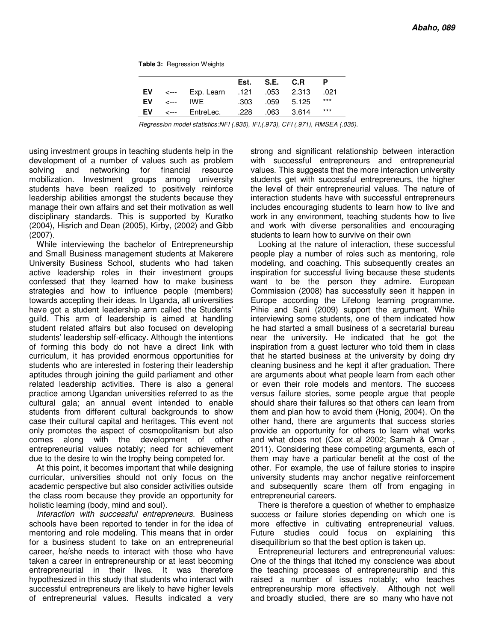**Table 3:** Regression Weights

|  |                                                  | Est. S.E. C.R.  |       |
|--|--------------------------------------------------|-----------------|-------|
|  | D21. EV <--- Exp. Learn .121 .053 2.313 .021     |                 |       |
|  | $EV \sim -100$                                   | .303 .059 5.125 | $***$ |
|  | <b>EV</b> $\leftarrow$ Entrelec. .228 .063 3.614 |                 | $***$ |

*Regression model statistics:NFI (.935), IFI,(.973), CFI (.971), RMSEA (.035).* 

using investment groups in teaching students help in the development of a number of values such as problem solving and networking for financial resource mobilization. Investment groups among university students have been realized to positively reinforce leadership abilities amongst the students because they manage their own affairs and set their motivation as well disciplinary standards. This is supported by Kuratko (2004), Hisrich and Dean (2005), Kirby, (2002) and Gibb (2007).

While interviewing the bachelor of Entrepreneurship and Small Business management students at Makerere University Business School, students who had taken active leadership roles in their investment groups confessed that they learned how to make business strategies and how to influence people (members) towards accepting their ideas. In Uganda, all universities have got a student leadership arm called the Students' guild. This arm of leadership is aimed at handling student related affairs but also focused on developing students' leadership self-efficacy. Although the intentions of forming this body do not have a direct link with curriculum, it has provided enormous opportunities for students who are interested in fostering their leadership aptitudes through joining the guild parliament and other related leadership activities. There is also a general practice among Ugandan universities referred to as the cultural gala; an annual event intended to enable students from different cultural backgrounds to show case their cultural capital and heritages. This event not only promotes the aspect of cosmopolitanism but also comes along with the development of other entrepreneurial values notably; need for achievement due to the desire to win the trophy being competed for.

At this point, it becomes important that while designing curricular, universities should not only focus on the academic perspective but also consider activities outside the class room because they provide an opportunity for holistic learning (body, mind and soul).

*Interaction with successful entrepreneurs.* Business schools have been reported to tender in for the idea of mentoring and role modeling. This means that in order for a business student to take on an entrepreneurial career, he/she needs to interact with those who have taken a career in entrepreneurship or at least becoming entrepreneurial in their lives. It was therefore hypothesized in this study that students who interact with successful entrepreneurs are likely to have higher levels of entrepreneurial values. Results indicated a very strong and significant relationship between interaction with successful entrepreneurs and entrepreneurial values. This suggests that the more interaction university students get with successful entrepreneurs, the higher the level of their entrepreneurial values. The nature of interaction students have with successful entrepreneurs includes encouraging students to learn how to live and work in any environment, teaching students how to live and work with diverse personalities and encouraging students to learn how to survive on their own

Looking at the nature of interaction, these successful people play a number of roles such as mentoring, role modeling, and coaching. This subsequently creates an inspiration for successful living because these students want to be the person they admire. European Commission (2008) has successfully seen it happen in Europe according the Lifelong learning programme. Pihie and Sani (2009) support the argument. While interviewing some students, one of them indicated how he had started a small business of a secretarial bureau near the university. He indicated that he got the inspiration from a guest lecturer who told them in class that he started business at the university by doing dry cleaning business and he kept it after graduation. There are arguments about what people learn from each other or even their role models and mentors. The success versus failure stories, some people argue that people should share their failures so that others can learn from them and plan how to avoid them (Honig, 2004). On the other hand, there are arguments that success stories provide an opportunity for others to learn what works and what does not (Cox et.al 2002; Samah & Omar , 2011). Considering these competing arguments, each of them may have a particular benefit at the cost of the other. For example, the use of failure stories to inspire university students may anchor negative reinforcement and subsequently scare them off from engaging in entrepreneurial careers.

There is therefore a question of whether to emphasize success or failure stories depending on which one is more effective in cultivating entrepreneurial values. Future studies could focus on explaining this disequilibrium so that the best option is taken up.

Entrepreneurial lecturers and entrepreneurial values: One of the things that itched my conscience was about the teaching processes of entrepreneurship and this raised a number of issues notably; who teaches entrepreneurship more effectively. Although not well and broadly studied, there are so many who have not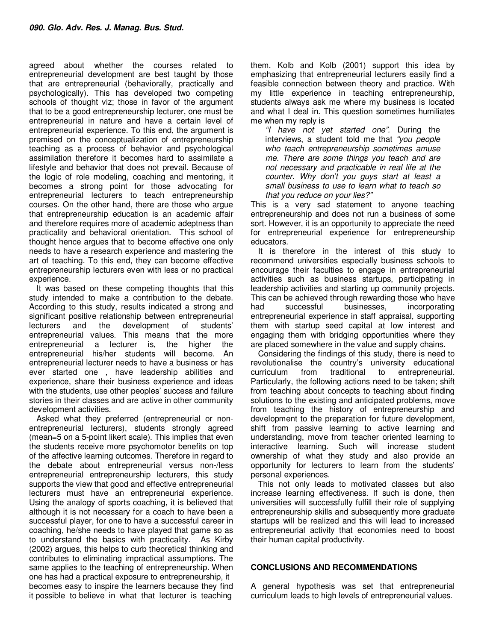agreed about whether the courses related to entrepreneurial development are best taught by those that are entrepreneurial (behaviorally, practically and psychologically). This has developed two competing schools of thought viz; those in favor of the argument that to be a good entrepreneurship lecturer, one must be entrepreneurial in nature and have a certain level of entrepreneurial experience. To this end, the argument is premised on the conceptualization of entrepreneurship teaching as a process of behavior and psychological assimilation therefore it becomes hard to assimilate a lifestyle and behavior that does not prevail. Because of the logic of role modeling, coaching and mentoring, it becomes a strong point for those advocating for entrepreneurial lecturers to teach entrepreneurship courses. On the other hand, there are those who argue that entrepreneurship education is an academic affair and therefore requires more of academic adeptness than practicality and behavioral orientation. This school of thought hence argues that to become effective one only needs to have a research experience and mastering the art of teaching. To this end, they can become effective entrepreneurship lecturers even with less or no practical experience.

It was based on these competing thoughts that this study intended to make a contribution to the debate. According to this study, results indicated a strong and significant positive relationship between entrepreneurial lecturers and the development of students' entrepreneurial values. This means that the more entrepreneurial a lecturer is, the higher the entrepreneurial his/her students will become. An entrepreneurial lecturer needs to have a business or has ever started one , have leadership abilities and experience, share their business experience and ideas with the students, use other peoples' success and failure stories in their classes and are active in other community development activities.

Asked what they preferred (entrepreneurial or nonentrepreneurial lecturers), students strongly agreed (mean=5 on a 5-point likert scale). This implies that even the students receive more psychomotor benefits on top of the affective learning outcomes. Therefore in regard to the debate about entrepreneurial versus non-/less entrepreneurial entrepreneurship lecturers, this study supports the view that good and effective entrepreneurial lecturers must have an entrepreneurial experience. Using the analogy of sports coaching, it is believed that although it is not necessary for a coach to have been a successful player, for one to have a successful career in coaching, he/she needs to have played that game so as to understand the basics with practicality. As Kirby (2002) argues, this helps to curb theoretical thinking and contributes to eliminating impractical assumptions. The same applies to the teaching of entrepreneurship. When one has had a practical exposure to entrepreneurship, it becomes easy to inspire the learners because they find it possible to believe in what that lecturer is teaching

them. Kolb and Kolb (2001) support this idea by emphasizing that entrepreneurial lecturers easily find a feasible connection between theory and practice. With my little experience in teaching entrepreneurship, students always ask me where my business is located and what I deal in. This question sometimes humiliates me when my reply is

*"I have not yet started one".* During the interviews, a student told me that *"you people who teach entrepreneurship sometimes amuse me. There are some things you teach and are not necessary and practicable in real life at the counter. Why don't you guys start at least a small business to use to learn what to teach so that you reduce on your lies?"* 

This is a very sad statement to anyone teaching entrepreneurship and does not run a business of some sort. However, it is an opportunity to appreciate the need for entrepreneurial experience for entrepreneurship educators.

It is therefore in the interest of this study to recommend universities especially business schools to encourage their faculties to engage in entrepreneurial activities such as business startups, participating in leadership activities and starting up community projects. This can be achieved through rewarding those who have had successful businesses, incorporating entrepreneurial experience in staff appraisal, supporting them with startup seed capital at low interest and engaging them with bridging opportunities where they are placed somewhere in the value and supply chains.

Considering the findings of this study, there is need to revolutionalise the country's university educational curriculum from traditional to entrepreneurial. Particularly, the following actions need to be taken; shift from teaching about concepts to teaching about finding solutions to the existing and anticipated problems, move from teaching the history of entrepreneurship and development to the preparation for future development, shift from passive learning to active learning and understanding, move from teacher oriented learning to interactive learning. Such will increase student ownership of what they study and also provide an opportunity for lecturers to learn from the students' personal experiences.

This not only leads to motivated classes but also increase learning effectiveness. If such is done, then universities will successfully fulfill their role of supplying entrepreneurship skills and subsequently more graduate startups will be realized and this will lead to increased entrepreneurial activity that economies need to boost their human capital productivity.

#### **CONCLUSIONS AND RECOMMENDATIONS**

A general hypothesis was set that entrepreneurial curriculum leads to high levels of entrepreneurial values.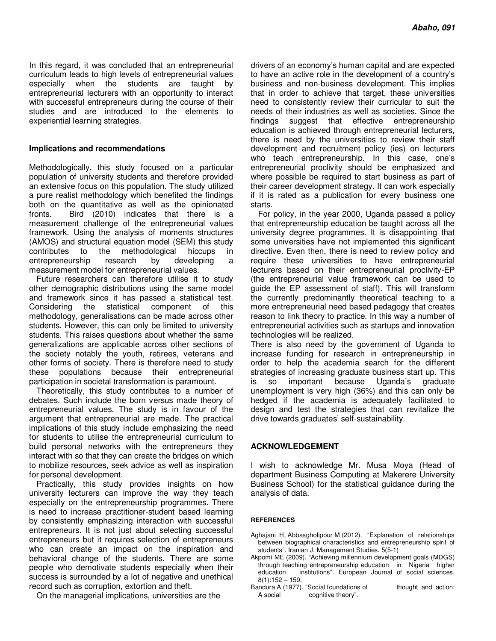In this regard, it was concluded that an entrepreneurial curriculum leads to high levels of entrepreneurial values especially when the students are taught by entrepreneurial lecturers with an opportunity to interact with successful entrepreneurs during the course of their studies and are introduced to the elements to experiential learning strategies.

#### **Implications and recommendations**

Methodologically, this study focused on a particular population of university students and therefore provided an extensive focus on this population. The study utilized a pure realist methodology which benefited the findings both on the quantitative as well as the opinionated fronts. Bird (2010) indicates that there is a measurement challenge of the entrepreneurial values framework. Using the analysis of moments structures (AMOS) and structural equation model (SEM) this study contributes to the methodological hiccups in entrepreneurship research by developing a measurement model for entrepreneurial values.

Future researchers can therefore utilise it to study other demographic distributions using the same model and framework since it has passed a statistical test. Considering the statistical component of this methodology, generalisations can be made across other students. However, this can only be limited to university students. This raises questions about whether the same generalizations are applicable across other sections of the society notably the youth, retirees, veterans and other forms of society. There is therefore need to study these populations because their entrepreneurial participation in societal transformation is paramount.

Theoretically, this study contributes to a number of debates. Such include the born versus made theory of entrepreneurial values. The study is in favour of the argument that entrepreneurial are made. The practical implications of this study include emphasizing the need for students to utilise the entrepreneurial curriculum to build personal networks with the entrepreneurs they interact with so that they can create the bridges on which to mobilize resources, seek advice as well as inspiration for personal development.

Practically, this study provides insights on how university lecturers can improve the way they teach especially on the entrepreneurship programmes. There is need to increase practitioner-student based learning by consistently emphasizing interaction with successful entrepreneurs. It is not just about selecting successful entrepreneurs but it requires selection of entrepreneurs who can create an impact on the inspiration and behavioral change of the students. There are some people who demotivate students especially when their success is surrounded by a lot of negative and unethical record such as corruption, extortion and theft.

On the managerial implications, universities are the

drivers of an economy's human capital and are expected to have an active role in the development of a country's business and non-business development. This implies that in order to achieve that target, these universities need to consistently review their curricular to suit the needs of their industries as well as societies. Since the findings suggest that effective entrepreneurship education is achieved through entrepreneurial lecturers, there is need by the universities to review their staff development and recruitment policy (ies) on lecturers who teach entrepreneurship. In this case, one's entrepreneurial proclivity should be emphasized and where possible be required to start business as part of their career development strategy. It can work especially if it is rated as a publication for every business one starts.

For policy, in the year 2000, Uganda passed a policy that entrepreneurship education be taught across all the university degree programmes. It is disappointing that some universities have not implemented this significant directive. Even then, there is need to review policy and require these universities to have entrepreneurial lecturers based on their entrepreneurial proclivity-EP (the entrepreneurial value framework can be used to guide the EP assessment of staff). This will transform the currently predominantly theoretical teaching to a more entrepreneurial need based pedagogy that creates reason to link theory to practice. In this way a number of entrepreneurial activities such as startups and innovation technologies will be realized.

There is also need by the government of Uganda to increase funding for research in entrepreneurship in order to help the academia search for the different strategies of increasing graduate business start up. This is so important because Uganda's graduate unemployment is very high (36%) and this can only be hedged if the academia is adequately facilitated to design and test the strategies that can revitalize the drive towards graduates' self-sustainability.

#### **ACKNOWLEDGEMENT**

I wish to acknowledge Mr. Musa Moya (Head of department Business Computing at Makerere University Business School) for the statistical guidance during the analysis of data.

#### **REFERENCES**

Aghajani H, Abbasgholipour M (2012). "Explanation of relationships between biographical characteristics and entrepreneurship spirit of students". Iranian J. Management Studies. 5(5-1)

- Akpomi ME (2009). "Achieving millennium development goals (MDGS) through teaching entrepreneurship education in Nigeria higher education institutions"*.* European Journal of social sciences.  $8(1):152 - 159.$
- Bandura A (1977). "Social foundations of thought and action: A social cognitive theory".